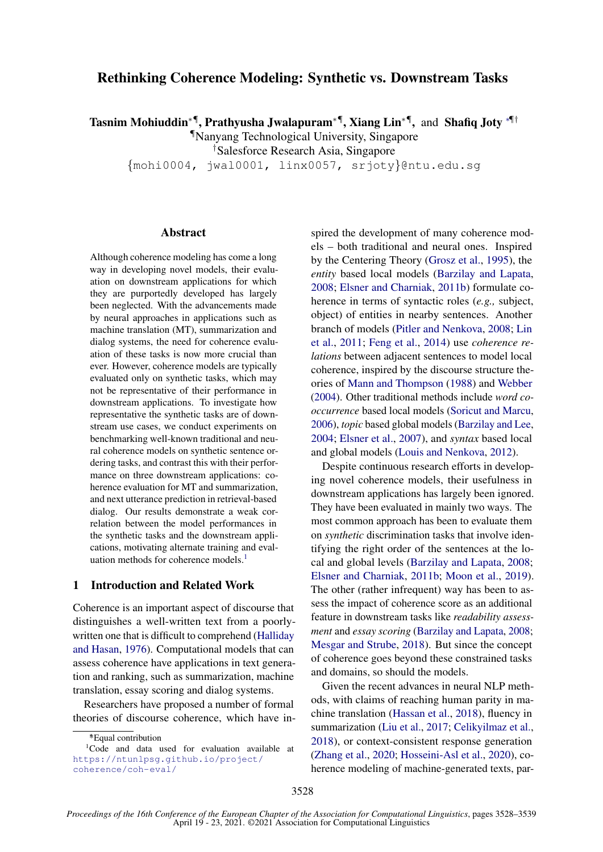# Rethinking Coherence Modeling: Synthetic vs. Downstream Tasks

Tasnim Mohiuddin\*¶, Prathyusha Jwalapuram\*¶, Xiang Lin\*¶, and Shafiq Joty \*¶†

¶Nanyang Technological University, Singapore

†Salesforce Research Asia, Singapore

{mohi0004, jwal0001, linx0057, srjoty}@ntu.edu.sg

# Abstract

Although coherence modeling has come a long way in developing novel models, their evaluation on downstream applications for which they are purportedly developed has largely been neglected. With the advancements made by neural approaches in applications such as machine translation (MT), summarization and dialog systems, the need for coherence evaluation of these tasks is now more crucial than ever. However, coherence models are typically evaluated only on synthetic tasks, which may not be representative of their performance in downstream applications. To investigate how representative the synthetic tasks are of downstream use cases, we conduct experiments on benchmarking well-known traditional and neural coherence models on synthetic sentence ordering tasks, and contrast this with their performance on three downstream applications: coherence evaluation for MT and summarization, and next utterance prediction in retrieval-based dialog. Our results demonstrate a weak correlation between the model performances in the synthetic tasks and the downstream applications, motivating alternate training and eval-uation methods for coherence models.<sup>[1](#page-0-0)</sup>

# 1 Introduction and Related Work

Coherence is an important aspect of discourse that distinguishes a well-written text from a poorlywritten one that is difficult to comprehend [\(Halliday](#page-9-0) [and Hasan,](#page-9-0) [1976\)](#page-9-0). Computational models that can assess coherence have applications in text generation and ranking, such as summarization, machine translation, essay scoring and dialog systems.

Researchers have proposed a number of formal theories of discourse coherence, which have in-

spired the development of many coherence models – both traditional and neural ones. Inspired by the Centering Theory [\(Grosz et al.,](#page-9-1) [1995\)](#page-9-1), the *entity* based local models [\(Barzilay and Lapata,](#page-8-0) [2008;](#page-8-0) [Elsner and Charniak,](#page-8-1) [2011b\)](#page-8-1) formulate coherence in terms of syntactic roles (*e.g.,* subject, object) of entities in nearby sentences. Another branch of models [\(Pitler and Nenkova,](#page-10-0) [2008;](#page-10-0) [Lin](#page-9-2) [et al.,](#page-9-2) [2011;](#page-9-2) [Feng et al.,](#page-8-2) [2014\)](#page-8-2) use *coherence relations* between adjacent sentences to model local coherence, inspired by the discourse structure theories of [Mann and Thompson](#page-9-3) [\(1988\)](#page-9-3) and [Webber](#page-10-1) [\(2004\)](#page-10-1). Other traditional methods include *word cooccurrence* based local models [\(Soricut and Marcu,](#page-10-2) [2006\)](#page-10-2), *topic* based global models [\(Barzilay and Lee,](#page-8-3) [2004;](#page-8-3) [Elsner et al.,](#page-8-4) [2007\)](#page-8-4), and *syntax* based local and global models [\(Louis and Nenkova,](#page-9-4) [2012\)](#page-9-4).

Despite continuous research efforts in developing novel coherence models, their usefulness in downstream applications has largely been ignored. They have been evaluated in mainly two ways. The most common approach has been to evaluate them on *synthetic* discrimination tasks that involve identifying the right order of the sentences at the local and global levels [\(Barzilay and Lapata,](#page-8-0) [2008;](#page-8-0) [Elsner and Charniak,](#page-8-1) [2011b;](#page-8-1) [Moon et al.,](#page-10-3) [2019\)](#page-10-3). The other (rather infrequent) way has been to assess the impact of coherence score as an additional feature in downstream tasks like *readability assessment* and *essay scoring* [\(Barzilay and Lapata,](#page-8-0) [2008;](#page-8-0) [Mesgar and Strube,](#page-9-5) [2018\)](#page-9-5). But since the concept of coherence goes beyond these constrained tasks and domains, so should the models.

Given the recent advances in neural NLP methods, with claims of reaching human parity in machine translation [\(Hassan et al.,](#page-9-6) [2018\)](#page-9-6), fluency in summarization [\(Liu et al.,](#page-9-7) [2017;](#page-9-7) [Celikyilmaz et al.,](#page-8-5) [2018\)](#page-8-5), or context-consistent response generation [\(Zhang et al.,](#page-11-0) [2020;](#page-11-0) [Hosseini-Asl et al.,](#page-9-8) [2020\)](#page-9-8), coherence modeling of machine-generated texts, par-

<span id="page-0-0"></span><sup>∗</sup> \*Equal contribution

<sup>&</sup>lt;sup>1</sup>Code and data used for evaluation available at [https://ntunlpsg.github.io/project/](https://ntunlpsg.github.io/project/coherence/coh-eval/) [coherence/coh-eval/](https://ntunlpsg.github.io/project/coherence/coh-eval/)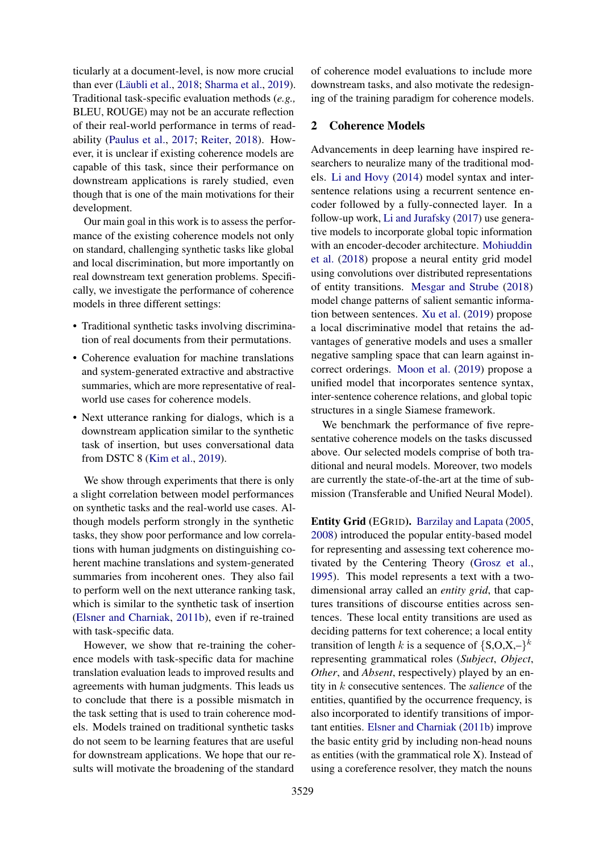ticularly at a document-level, is now more crucial than ever (Läubli et al., [2018;](#page-9-9) [Sharma et al.,](#page-10-4) [2019\)](#page-10-4). Traditional task-specific evaluation methods (*e.g.,* BLEU, ROUGE) may not be an accurate reflection of their real-world performance in terms of readability [\(Paulus et al.,](#page-10-5) [2017;](#page-10-5) [Reiter,](#page-10-6) [2018\)](#page-10-6). However, it is unclear if existing coherence models are capable of this task, since their performance on downstream applications is rarely studied, even though that is one of the main motivations for their development.

Our main goal in this work is to assess the performance of the existing coherence models not only on standard, challenging synthetic tasks like global and local discrimination, but more importantly on real downstream text generation problems. Specifically, we investigate the performance of coherence models in three different settings:

- Traditional synthetic tasks involving discrimination of real documents from their permutations.
- Coherence evaluation for machine translations and system-generated extractive and abstractive summaries, which are more representative of realworld use cases for coherence models.
- Next utterance ranking for dialogs, which is a downstream application similar to the synthetic task of insertion, but uses conversational data from DSTC 8 [\(Kim et al.,](#page-9-10) [2019\)](#page-9-10).

We show through experiments that there is only a slight correlation between model performances on synthetic tasks and the real-world use cases. Although models perform strongly in the synthetic tasks, they show poor performance and low correlations with human judgments on distinguishing coherent machine translations and system-generated summaries from incoherent ones. They also fail to perform well on the next utterance ranking task, which is similar to the synthetic task of insertion [\(Elsner and Charniak,](#page-8-1) [2011b\)](#page-8-1), even if re-trained with task-specific data.

However, we show that re-training the coherence models with task-specific data for machine translation evaluation leads to improved results and agreements with human judgments. This leads us to conclude that there is a possible mismatch in the task setting that is used to train coherence models. Models trained on traditional synthetic tasks do not seem to be learning features that are useful for downstream applications. We hope that our results will motivate the broadening of the standard

of coherence model evaluations to include more downstream tasks, and also motivate the redesigning of the training paradigm for coherence models.

### 2 Coherence Models

Advancements in deep learning have inspired researchers to neuralize many of the traditional models. [Li and Hovy](#page-9-11) [\(2014\)](#page-9-11) model syntax and intersentence relations using a recurrent sentence encoder followed by a fully-connected layer. In a follow-up work, [Li and Jurafsky](#page-9-12) [\(2017\)](#page-9-12) use generative models to incorporate global topic information with an encoder-decoder architecture. [Mohiuddin](#page-10-7) [et al.](#page-10-7) [\(2018\)](#page-10-7) propose a neural entity grid model using convolutions over distributed representations of entity transitions. [Mesgar and Strube](#page-9-5) [\(2018\)](#page-9-5) model change patterns of salient semantic information between sentences. [Xu et al.](#page-11-1) [\(2019\)](#page-11-1) propose a local discriminative model that retains the advantages of generative models and uses a smaller negative sampling space that can learn against incorrect orderings. [Moon et al.](#page-10-3) [\(2019\)](#page-10-3) propose a unified model that incorporates sentence syntax, inter-sentence coherence relations, and global topic structures in a single Siamese framework.

We benchmark the performance of five representative coherence models on the tasks discussed above. Our selected models comprise of both traditional and neural models. Moreover, two models are currently the state-of-the-art at the time of submission (Transferable and Unified Neural Model).

Entity Grid (EGRID). [Barzilay and Lapata](#page-8-6) [\(2005,](#page-8-6) [2008\)](#page-8-0) introduced the popular entity-based model for representing and assessing text coherence motivated by the Centering Theory [\(Grosz et al.,](#page-9-1) [1995\)](#page-9-1). This model represents a text with a twodimensional array called an *entity grid*, that captures transitions of discourse entities across sentences. These local entity transitions are used as deciding patterns for text coherence; a local entity transition of length k is a sequence of  ${S, O, X, -}^k$ representing grammatical roles (*Subject*, *Object*, *Other*, and *Absent*, respectively) played by an entity in k consecutive sentences. The *salience* of the entities, quantified by the occurrence frequency, is also incorporated to identify transitions of important entities. [Elsner and Charniak](#page-8-1) [\(2011b\)](#page-8-1) improve the basic entity grid by including non-head nouns as entities (with the grammatical role X). Instead of using a coreference resolver, they match the nouns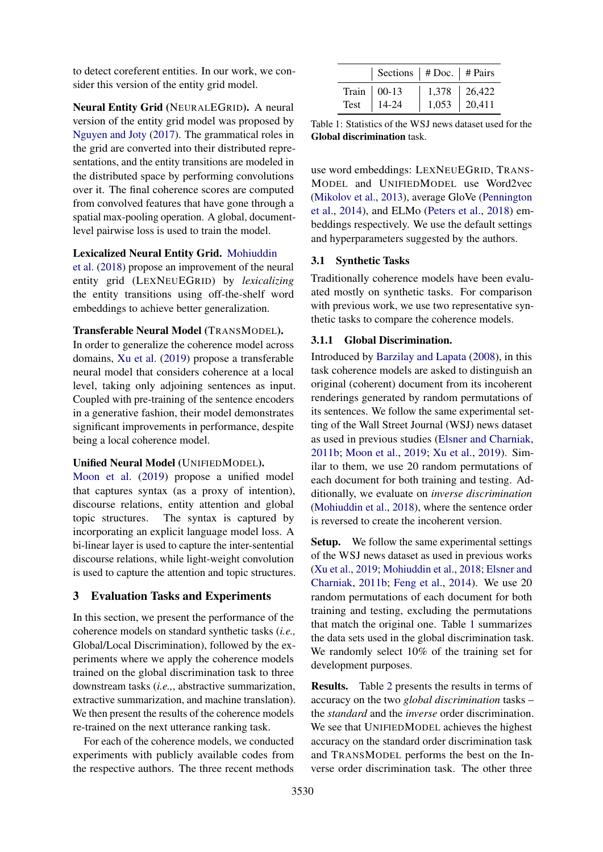to detect coreferent entities. In our work, we consider this version of the entity grid model.

Neural Entity Grid (NEURALEGRID). A neural version of the entity grid model was proposed by [Nguyen and Joty](#page-10-8) [\(2017\)](#page-10-8). The grammatical roles in the grid are converted into their distributed representations, and the entity transitions are modeled in the distributed space by performing convolutions over it. The final coherence scores are computed from convolved features that have gone through a spatial max-pooling operation. A global, documentlevel pairwise loss is used to train the model.

# Lexicalized Neural Entity Grid. [Mohiuddin](#page-10-7)

[et al.](#page-10-7) [\(2018\)](#page-10-7) propose an improvement of the neural entity grid (LEXNEUEGRID) by *lexicalizing* the entity transitions using off-the-shelf word embeddings to achieve better generalization.

# Transferable Neural Model (TRANSMODEL).

In order to generalize the coherence model across domains, [Xu et al.](#page-11-1) [\(2019\)](#page-11-1) propose a transferable neural model that considers coherence at a local level, taking only adjoining sentences as input. Coupled with pre-training of the sentence encoders in a generative fashion, their model demonstrates significant improvements in performance, despite being a local coherence model.

### Unified Neural Model (UNIFIEDMODEL).

[Moon et al.](#page-10-3) [\(2019\)](#page-10-3) propose a unified model that captures syntax (as a proxy of intention), discourse relations, entity attention and global topic structures. The syntax is captured by incorporating an explicit language model loss. A bi-linear layer is used to capture the inter-sentential discourse relations, while light-weight convolution is used to capture the attention and topic structures.

#### 3 Evaluation Tasks and Experiments

In this section, we present the performance of the coherence models on standard synthetic tasks (*i.e.,* Global/Local Discrimination), followed by the experiments where we apply the coherence models trained on the global discrimination task to three downstream tasks (*i.e.,*, abstractive summarization, extractive summarization, and machine translation). We then present the results of the coherence models re-trained on the next utterance ranking task.

For each of the coherence models, we conducted experiments with publicly available codes from the respective authors. The three recent methods

<span id="page-2-0"></span>

| Sections   $# \text{Doc.}$   $# \text{Pairs}$ |                  |                  |
|-----------------------------------------------|------------------|------------------|
| Train $\vert$ 00-13                           | $1,378$   26,422 |                  |
| Test   14-24                                  |                  | $1,053$   20,411 |

Table 1: Statistics of the WSJ news dataset used for the Global discrimination task.

use word embeddings: LEXNEUEGRID, TRANS-MODEL and UNIFIEDMODEL use Word2vec [\(Mikolov et al.,](#page-10-9) [2013\)](#page-10-9), average GloVe [\(Pennington](#page-10-10) [et al.,](#page-10-10) [2014\)](#page-10-10), and ELMo [\(Peters et al.,](#page-10-11) [2018\)](#page-10-11) embeddings respectively. We use the default settings and hyperparameters suggested by the authors.

### 3.1 Synthetic Tasks

Traditionally coherence models have been evaluated mostly on synthetic tasks. For comparison with previous work, we use two representative synthetic tasks to compare the coherence models.

# 3.1.1 Global Discrimination.

Introduced by [Barzilay and Lapata](#page-8-0) [\(2008\)](#page-8-0), in this task coherence models are asked to distinguish an original (coherent) document from its incoherent renderings generated by random permutations of its sentences. We follow the same experimental setting of the Wall Street Journal (WSJ) news dataset as used in previous studies [\(Elsner and Charniak,](#page-8-1) [2011b;](#page-8-1) [Moon et al.,](#page-10-3) [2019;](#page-10-3) [Xu et al.,](#page-11-1) [2019\)](#page-11-1). Similar to them, we use 20 random permutations of each document for both training and testing. Additionally, we evaluate on *inverse discrimination* [\(Mohiuddin et al.,](#page-10-7) [2018\)](#page-10-7), where the sentence order is reversed to create the incoherent version.

Setup. We follow the same experimental settings of the WSJ news dataset as used in previous works [\(Xu et al.,](#page-11-1) [2019;](#page-11-1) [Mohiuddin et al.,](#page-10-7) [2018;](#page-10-7) [Elsner and](#page-8-1) [Charniak,](#page-8-1) [2011b;](#page-8-1) [Feng et al.,](#page-8-2) [2014\)](#page-8-2). We use 20 random permutations of each document for both training and testing, excluding the permutations that match the original one. Table [1](#page-2-0) summarizes the data sets used in the global discrimination task. We randomly select 10% of the training set for development purposes.

Results. Table [2](#page-3-0) presents the results in terms of accuracy on the two *global discrimination* tasks – the *standard* and the *inverse* order discrimination. We see that UNIFIEDMODEL achieves the highest accuracy on the standard order discrimination task and TRANSMODEL performs the best on the Inverse order discrimination task. The other three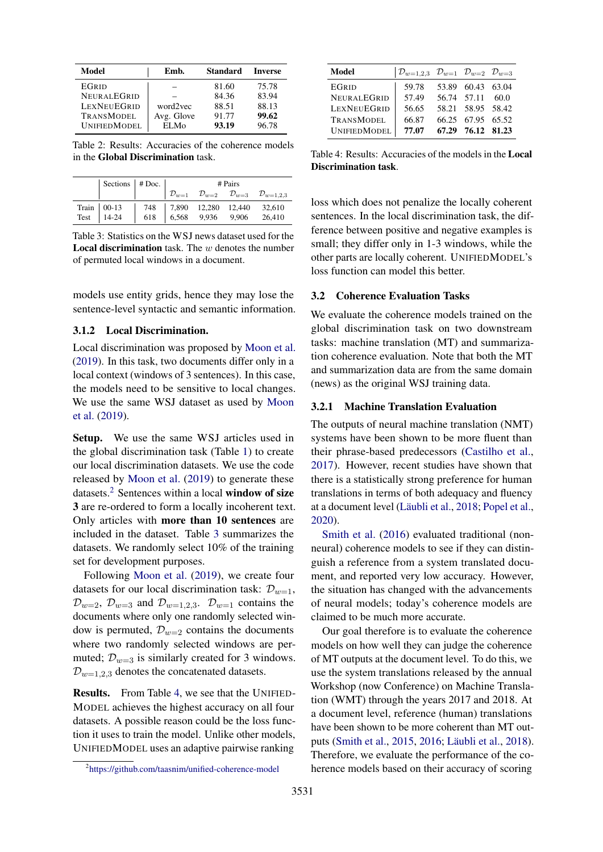<span id="page-3-0"></span>

| Model               | Emb.       | <b>Standard</b> | <b>Inverse</b> |
|---------------------|------------|-----------------|----------------|
| EGRID               |            | 81.60           | 75.78          |
| NEURALEGRID         |            | 84.36           | 83.94          |
| LEXNEUEGRID         | word2vec   | 88.51           | 88.13          |
| <b>TRANSMODEL</b>   | Avg. Glove | 91.77           | 99.62          |
| <b>UNIFIEDMODEL</b> | ELMo       | 93.19           | 96.78          |

Table 2: Results: Accuracies of the coherence models in the Global Discrimination task.

<span id="page-3-2"></span>

| Sections $ $ # Doc. $ $                                                               | # Pairs |  |  |                                                                                                                      |
|---------------------------------------------------------------------------------------|---------|--|--|----------------------------------------------------------------------------------------------------------------------|
|                                                                                       |         |  |  | $\begin{array}{ccc}\n\mathcal{D}_{w=1} & \mathcal{D}_{w=2} & \mathcal{D}_{w=3} & \mathcal{D}_{w=1,2,3}\n\end{array}$ |
| Train 00-13 748 7,890 12,280 12,440 32,610<br>Test 14-24 618 6,568 9,936 9,906 26,410 |         |  |  |                                                                                                                      |
|                                                                                       |         |  |  |                                                                                                                      |

Table 3: Statistics on the WSJ news dataset used for the **Local discrimination** task. The  $w$  denotes the number of permuted local windows in a document.

models use entity grids, hence they may lose the sentence-level syntactic and semantic information.

#### 3.1.2 Local Discrimination.

Local discrimination was proposed by [Moon et al.](#page-10-3) [\(2019\)](#page-10-3). In this task, two documents differ only in a local context (windows of 3 sentences). In this case, the models need to be sensitive to local changes. We use the same WSJ dataset as used by [Moon](#page-10-3) [et al.](#page-10-3) [\(2019\)](#page-10-3).

Setup. We use the same WSJ articles used in the global discrimination task (Table [1\)](#page-2-0) to create our local discrimination datasets. We use the code released by [Moon et al.](#page-10-3) [\(2019\)](#page-10-3) to generate these datasets.<sup>[2](#page-3-1)</sup> Sentences within a local window of size 3 are re-ordered to form a locally incoherent text. Only articles with more than 10 sentences are included in the dataset. Table [3](#page-3-2) summarizes the datasets. We randomly select 10% of the training set for development purposes.

Following [Moon et al.](#page-10-3) [\(2019\)](#page-10-3), we create four datasets for our local discrimination task:  $\mathcal{D}_{w=1}$ ,  $\mathcal{D}_{w=2}$ ,  $\mathcal{D}_{w=3}$  and  $\mathcal{D}_{w=1,2,3}$ .  $\mathcal{D}_{w=1}$  contains the documents where only one randomly selected window is permuted,  $\mathcal{D}_{w=2}$  contains the documents where two randomly selected windows are permuted;  $\mathcal{D}_{w=3}$  is similarly created for 3 windows.  $\mathcal{D}_{w=1,2,3}$  denotes the concatenated datasets.

Results. From Table [4,](#page-3-3) we see that the UNIFIED-MODEL achieves the highest accuracy on all four datasets. A possible reason could be the loss function it uses to train the model. Unlike other models, UNIFIEDMODEL uses an adaptive pairwise ranking

<span id="page-3-3"></span>

| Model              | $\mathcal{D}_{w=1,2,3}$ $\mathcal{D}_{w=1}$ $\mathcal{D}_{w=2}$ $\mathcal{D}_{w=3}$ |                   |  |
|--------------------|-------------------------------------------------------------------------------------|-------------------|--|
| <b>EGRID</b>       | 59.78                                                                               | 53.89 60.43 63.04 |  |
| NEURALEGRID        | 57.49                                                                               | 56.74 57.11 60.0  |  |
| <b>LEXNEUEGRID</b> | 56.65                                                                               | 58.21 58.95 58.42 |  |
| <b>TRANSMODEL</b>  | 66.87                                                                               | 66.25 67.95 65.52 |  |
| UNIFIEDMODEL       | 77.07                                                                               | 67.29 76.12 81.23 |  |

Table 4: Results: Accuracies of the models in the Local Discrimination task.

loss which does not penalize the locally coherent sentences. In the local discrimination task, the difference between positive and negative examples is small; they differ only in 1-3 windows, while the other parts are locally coherent. UNIFIEDMODEL's loss function can model this better.

# 3.2 Coherence Evaluation Tasks

We evaluate the coherence models trained on the global discrimination task on two downstream tasks: machine translation (MT) and summarization coherence evaluation. Note that both the MT and summarization data are from the same domain (news) as the original WSJ training data.

#### 3.2.1 Machine Translation Evaluation

The outputs of neural machine translation (NMT) systems have been shown to be more fluent than their phrase-based predecessors [\(Castilho et al.,](#page-8-7) [2017\)](#page-8-7). However, recent studies have shown that there is a statistically strong preference for human translations in terms of both adequacy and fluency at a document level (Läubli et al., [2018;](#page-9-9) [Popel et al.,](#page-10-12) [2020\)](#page-10-12).

[Smith et al.](#page-10-13) [\(2016\)](#page-10-13) evaluated traditional (nonneural) coherence models to see if they can distinguish a reference from a system translated document, and reported very low accuracy. However, the situation has changed with the advancements of neural models; today's coherence models are claimed to be much more accurate.

Our goal therefore is to evaluate the coherence models on how well they can judge the coherence of MT outputs at the document level. To do this, we use the system translations released by the annual Workshop (now Conference) on Machine Translation (WMT) through the years 2017 and 2018. At a document level, reference (human) translations have been shown to be more coherent than MT out-puts [\(Smith et al.,](#page-10-14) [2015,](#page-10-14) [2016;](#page-10-13) Läubli et al., [2018\)](#page-9-9). Therefore, we evaluate the performance of the coherence models based on their accuracy of scoring

<span id="page-3-1"></span><sup>2</sup> <https://github.com/taasnim/unified-coherence-model>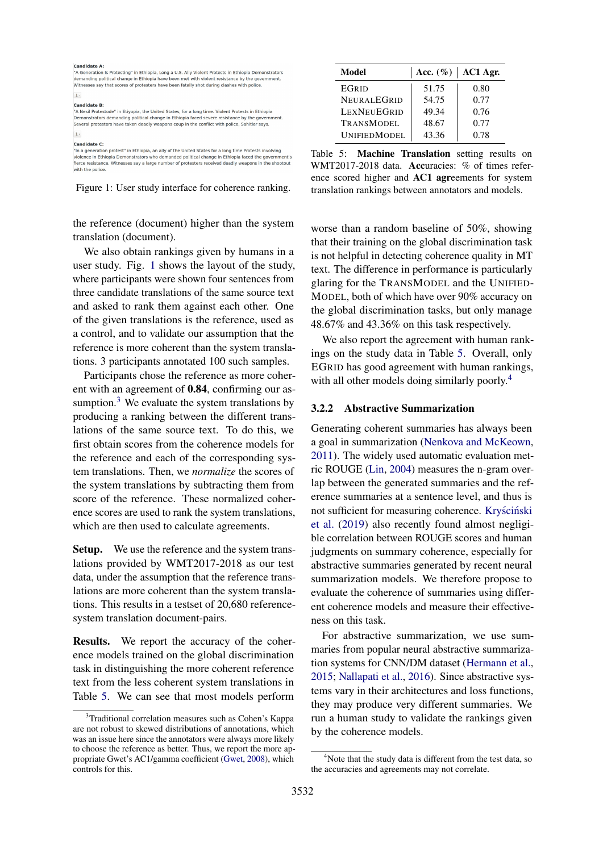<span id="page-4-0"></span>

| <b>Candidate A:</b><br>"A Generation Is Protesting" in Ethiopia, Long a U.S. Ally Violent Protests in Ethiopia Demonstrators<br>demanding political change in Ethiopia have been met with violent resistance by the government.<br>Witnesses say that scores of protesters have been fatally shot during clashes with police.<br>$1\, \circ$                      |              |
|-------------------------------------------------------------------------------------------------------------------------------------------------------------------------------------------------------------------------------------------------------------------------------------------------------------------------------------------------------------------|--------------|
| <b>Candidate B:</b><br>"A Nesil Protestode" in Etiyopia, the United States, for a long time. Violent Protests in Ethiopia<br>Demonstrators demanding political change in Ethiopia faced severe resistance by the government.<br>Several protesters have taken deadly weapons coup in the conflict with police, Sahitler says.<br>$1\,$ $\cdot$                    |              |
| <b>Candidate C:</b><br>"In a generation protest" in Ethiopia, an ally of the United States for a long time Protests involving<br>violence in Ethiopia Demonstrators who demanded political change in Ethiopia faced the government's<br>fierce resistance. Witnesses say a large number of protesters received deadly weapons in the shootout<br>with the police. | Table<br>WMT |



the reference (document) higher than the system translation (document).

We also obtain rankings given by humans in a user study. Fig. [1](#page-4-0) shows the layout of the study, where participants were shown four sentences from three candidate translations of the same source text and asked to rank them against each other. One of the given translations is the reference, used as a control, and to validate our assumption that the reference is more coherent than the system translations. 3 participants annotated 100 such samples.

Participants chose the reference as more coherent with an agreement of 0.84, confirming our assumption. $3$  We evaluate the system translations by producing a ranking between the different translations of the same source text. To do this, we first obtain scores from the coherence models for the reference and each of the corresponding system translations. Then, we *normalize* the scores of the system translations by subtracting them from score of the reference. These normalized coherence scores are used to rank the system translations, which are then used to calculate agreements.

Setup. We use the reference and the system translations provided by WMT2017-2018 as our test data, under the assumption that the reference translations are more coherent than the system translations. This results in a testset of 20,680 referencesystem translation document-pairs.

Results. We report the accuracy of the coherence models trained on the global discrimination task in distinguishing the more coherent reference text from the less coherent system translations in Table [5.](#page-4-2) We can see that most models perform

<span id="page-4-2"></span>

| Model               |       | Acc. $(\%)$   AC1 Agr. |
|---------------------|-------|------------------------|
| <b>EGRID</b>        | 51.75 | 0.80                   |
| NEURALEGRID         | 54.75 | 0.77                   |
| LEXNEUEGRID         | 49.34 | 0.76                   |
| <b>TRANSMODEL</b>   | 48.67 | 0.77                   |
| <b>UNIFIEDMODEL</b> | 43.36 | 0.78                   |

5: Machine Translation setting results on 2017-2018 data. Accuracies: % of times reference scored higher and AC1 agreements for system translation rankings between annotators and models.

worse than a random baseline of 50%, showing that their training on the global discrimination task is not helpful in detecting coherence quality in MT text. The difference in performance is particularly glaring for the TRANSMODEL and the UNIFIED-MODEL, both of which have over 90% accuracy on the global discrimination tasks, but only manage 48.67% and 43.36% on this task respectively.

We also report the agreement with human rankings on the study data in Table [5.](#page-4-2) Overall, only EGRID has good agreement with human rankings, with all other models doing similarly poorly.<sup>[4](#page-4-3)</sup>

#### 3.2.2 Abstractive Summarization

Generating coherent summaries has always been a goal in summarization [\(Nenkova and McKeown,](#page-10-15) [2011\)](#page-10-15). The widely used automatic evaluation metric ROUGE [\(Lin,](#page-9-14) [2004\)](#page-9-14) measures the n-gram overlap between the generated summaries and the reference summaries at a sentence level, and thus is not sufficient for measuring coherence. Kryściński [et al.](#page-9-15) [\(2019\)](#page-9-15) also recently found almost negligible correlation between ROUGE scores and human judgments on summary coherence, especially for abstractive summaries generated by recent neural summarization models. We therefore propose to evaluate the coherence of summaries using different coherence models and measure their effectiveness on this task.

For abstractive summarization, we use summaries from popular neural abstractive summarization systems for CNN/DM dataset [\(Hermann et al.,](#page-9-16) [2015;](#page-9-16) [Nallapati et al.,](#page-10-16) [2016\)](#page-10-16). Since abstractive systems vary in their architectures and loss functions, they may produce very different summaries. We run a human study to validate the rankings given by the coherence models.

<span id="page-4-1"></span><sup>3</sup>Traditional correlation measures such as Cohen's Kappa are not robust to skewed distributions of annotations, which was an issue here since the annotators were always more likely to choose the reference as better. Thus, we report the more appropriate Gwet's AC1/gamma coefficient [\(Gwet,](#page-9-13) [2008\)](#page-9-13), which controls for this.

<span id="page-4-3"></span> $4$ Note that the study data is different from the test data, so the accuracies and agreements may not correlate.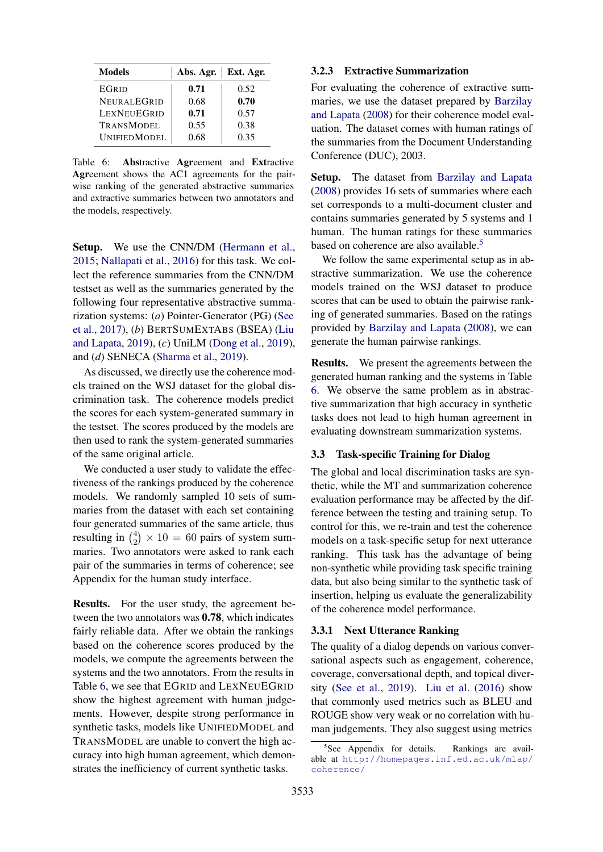<span id="page-5-0"></span>

| Models              | Abs. Agr. | Ext. Agr. |
|---------------------|-----------|-----------|
| EGRID               | 0.71      | 0.52      |
| <b>NEURALEGRID</b>  | 0.68      | 0.70      |
| LEXNEUEGRID         | 0.71      | 0.57      |
| <b>TRANSMODEL</b>   | 0.55      | 0.38      |
| <b>UNIFIEDMODEL</b> | 0.68      | 0.35      |

Table 6: Abstractive Agreement and Extractive Agreement shows the AC1 agreements for the pairwise ranking of the generated abstractive summaries and extractive summaries between two annotators and the models, respectively.

Setup. We use the CNN/DM [\(Hermann et al.,](#page-9-16) [2015;](#page-9-16) [Nallapati et al.,](#page-10-16) [2016\)](#page-10-16) for this task. We collect the reference summaries from the CNN/DM testset as well as the summaries generated by the following four representative abstractive summarization systems: (*a*) Pointer-Generator (PG) [\(See](#page-10-17) [et al.,](#page-10-17) [2017\)](#page-10-17), (*b*) BERTSUMEXTABS (BSEA) [\(Liu](#page-9-17) [and Lapata,](#page-9-17) [2019\)](#page-9-17), (*c*) UniLM [\(Dong et al.,](#page-8-8) [2019\)](#page-8-8), and (*d*) SENECA [\(Sharma et al.,](#page-10-4) [2019\)](#page-10-4).

As discussed, we directly use the coherence models trained on the WSJ dataset for the global discrimination task. The coherence models predict the scores for each system-generated summary in the testset. The scores produced by the models are then used to rank the system-generated summaries of the same original article.

We conducted a user study to validate the effectiveness of the rankings produced by the coherence models. We randomly sampled 10 sets of summaries from the dataset with each set containing four generated summaries of the same article, thus resulting in  $\binom{4}{2}$  $^{4}_{2}) \times 10 = 60$  pairs of system summaries. Two annotators were asked to rank each pair of the summaries in terms of coherence; see Appendix for the human study interface.

Results. For the user study, the agreement between the two annotators was 0.78, which indicates fairly reliable data. After we obtain the rankings based on the coherence scores produced by the models, we compute the agreements between the systems and the two annotators. From the results in Table [6,](#page-5-0) we see that EGRID and LEXNEUEGRID show the highest agreement with human judgements. However, despite strong performance in synthetic tasks, models like UNIFIEDMODEL and TRANSMODEL are unable to convert the high accuracy into high human agreement, which demonstrates the inefficiency of current synthetic tasks.

### 3.2.3 Extractive Summarization

For evaluating the coherence of extractive summaries, we use the dataset prepared by [Barzilay](#page-8-0) [and Lapata](#page-8-0) [\(2008\)](#page-8-0) for their coherence model evaluation. The dataset comes with human ratings of the summaries from the Document Understanding Conference (DUC), 2003.

Setup. The dataset from [Barzilay and Lapata](#page-8-0) [\(2008\)](#page-8-0) provides 16 sets of summaries where each set corresponds to a multi-document cluster and contains summaries generated by 5 systems and 1 human. The human ratings for these summaries based on coherence are also available.<sup>[5](#page-5-1)</sup>

We follow the same experimental setup as in abstractive summarization. We use the coherence models trained on the WSJ dataset to produce scores that can be used to obtain the pairwise ranking of generated summaries. Based on the ratings provided by [Barzilay and Lapata](#page-8-0) [\(2008\)](#page-8-0), we can generate the human pairwise rankings.

Results. We present the agreements between the generated human ranking and the systems in Table [6.](#page-5-0) We observe the same problem as in abstractive summarization that high accuracy in synthetic tasks does not lead to high human agreement in evaluating downstream summarization systems.

#### 3.3 Task-specific Training for Dialog

The global and local discrimination tasks are synthetic, while the MT and summarization coherence evaluation performance may be affected by the difference between the testing and training setup. To control for this, we re-train and test the coherence models on a task-specific setup for next utterance ranking. This task has the advantage of being non-synthetic while providing task specific training data, but also being similar to the synthetic task of insertion, helping us evaluate the generalizability of the coherence model performance.

### 3.3.1 Next Utterance Ranking

The quality of a dialog depends on various conversational aspects such as engagement, coherence, coverage, conversational depth, and topical diversity [\(See et al.,](#page-10-18) [2019\)](#page-10-18). [Liu et al.](#page-9-18) [\(2016\)](#page-9-18) show that commonly used metrics such as BLEU and ROUGE show very weak or no correlation with human judgements. They also suggest using metrics

<span id="page-5-1"></span><sup>5</sup> See Appendix for details. Rankings are available at [http://homepages.inf.ed.ac.uk/mlap/](http://homepages.inf.ed.ac.uk/mlap/coherence/) [coherence/](http://homepages.inf.ed.ac.uk/mlap/coherence/)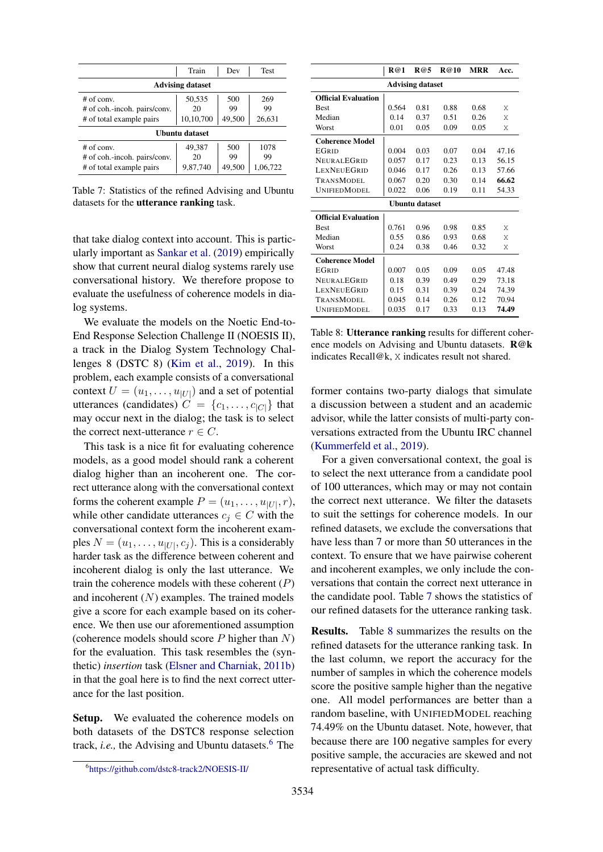<span id="page-6-1"></span>

|                              | Train                   | Dev    | <b>Test</b> |
|------------------------------|-------------------------|--------|-------------|
|                              | <b>Advising dataset</b> |        |             |
| $#$ of conv.                 | 50,535                  | 500    | 269         |
| # of coh.-incoh. pairs/conv. | 20                      | 99     | 99          |
| # of total example pairs     | 10,10,700               | 49,500 | 26,631      |
| Ubuntu dataset               |                         |        |             |
| $#$ of conv.                 | 49,387                  | 500    | 1078        |
| # of coh.-incoh. pairs/conv. | 20                      | 99     | 99          |
| # of total example pairs     | 9,87,740                | 49,500 | 1,06,722    |

Table 7: Statistics of the refined Advising and Ubuntu datasets for the utterance ranking task.

that take dialog context into account. This is particularly important as [Sankar et al.](#page-10-19) [\(2019\)](#page-10-19) empirically show that current neural dialog systems rarely use conversational history. We therefore propose to evaluate the usefulness of coherence models in dialog systems.

We evaluate the models on the Noetic End-to-End Response Selection Challenge II (NOESIS II), a track in the Dialog System Technology Challenges 8 (DSTC 8) [\(Kim et al.,](#page-9-10) [2019\)](#page-9-10). In this problem, each example consists of a conversational context  $U = (u_1, \dots, u_{|U|})$  and a set of potential utterances (candidates)  $C = \{c_1, \ldots, c_{|C|}\}\)$  that may occur next in the dialog; the task is to select the correct next-utterance  $r \in C$ .

This task is a nice fit for evaluating coherence models, as a good model should rank a coherent dialog higher than an incoherent one. The correct utterance along with the conversational context forms the coherent example  $P = (u_1, \dots, u_{|U|}, r)$ , while other candidate utterances  $c_i \in C$  with the conversational context form the incoherent examples  $N = (u_1, \dots, u_{|U|}, c_j)$ . This is a considerably harder task as the difference between coherent and incoherent dialog is only the last utterance. We train the coherence models with these coherent  $(P)$ and incoherent  $(N)$  examples. The trained models give a score for each example based on its coherence. We then use our aforementioned assumption (coherence models should score  $P$  higher than  $N$ ) for the evaluation. This task resembles the (synthetic) *insertion* task [\(Elsner and Charniak,](#page-8-1) [2011b\)](#page-8-1) in that the goal here is to find the next correct utterance for the last position.

Setup. We evaluated the coherence models on both datasets of the DSTC8 response selection track, *i.e.*, the Advising and Ubuntu datasets.<sup>[6](#page-6-0)</sup> The

<span id="page-6-2"></span>

|                            | R@1   | R@5  | <b>R</b> @10 | MRR  | Acc.  |  |
|----------------------------|-------|------|--------------|------|-------|--|
| <b>Advising dataset</b>    |       |      |              |      |       |  |
| <b>Official Evaluation</b> |       |      |              |      |       |  |
| <b>Best</b>                | 0.564 | 0.81 | 0.88         | 0.68 | Χ     |  |
| Median                     | 0.14  | 0.37 | 0.51         | 0.26 | X     |  |
| Worst                      | 0.01  | 0.05 | 0.09         | 0.05 | Χ     |  |
| <b>Coherence Model</b>     |       |      |              |      |       |  |
| <b>EGRID</b>               | 0.004 | 0.03 | 0.07         | 0.04 | 47.16 |  |
| <b>NEURALEGRID</b>         | 0.057 | 0.17 | 0.23         | 0.13 | 56.15 |  |
| <b>LEXNEUEGRID</b>         | 0.046 | 0.17 | 0.26         | 0.13 | 57.66 |  |
| TRANSMODEL                 | 0.067 | 0.20 | 0.30         | 0.14 | 66.62 |  |
| <b>UNIFIEDMODEL</b>        | 0.022 | 0.06 | 0.19         | 0.11 | 54.33 |  |
| Ubuntu dataset             |       |      |              |      |       |  |
| <b>Official Evaluation</b> |       |      |              |      |       |  |
| <b>Best</b>                | 0.761 | 0.96 | 0.98         | 0.85 | Χ     |  |
| Median                     | 0.55  | 0.86 | 0.93         | 0.68 | Χ     |  |
| Worst                      | 0.24  | 0.38 | 0.46         | 0.32 | Χ     |  |
| <b>Coherence Model</b>     |       |      |              |      |       |  |
| <b>EGRID</b>               | 0.007 | 0.05 | 0.09         | 0.05 | 47.48 |  |
| <b>NEURALEGRID</b>         | 0.18  | 0.39 | 0.49         | 0.29 | 73.18 |  |
| <b>LEXNEUEGRID</b>         | 0.15  | 0.31 | 0.39         | 0.24 | 74.39 |  |
| TRANSMODEL                 | 0.045 | 0.14 | 0.26         | 0.12 | 70.94 |  |
| <b>UNIFIEDMODEL</b>        | 0.035 | 0.17 | 0.33         | 0.13 | 74.49 |  |

Table 8: Utterance ranking results for different coherence models on Advising and Ubuntu datasets. R@k indicates Recall@k, X indicates result not shared.

former contains two-party dialogs that simulate a discussion between a student and an academic advisor, while the latter consists of multi-party conversations extracted from the Ubuntu IRC channel [\(Kummerfeld et al.,](#page-9-19) [2019\)](#page-9-19).

For a given conversational context, the goal is to select the next utterance from a candidate pool of 100 utterances, which may or may not contain the correct next utterance. We filter the datasets to suit the settings for coherence models. In our refined datasets, we exclude the conversations that have less than 7 or more than 50 utterances in the context. To ensure that we have pairwise coherent and incoherent examples, we only include the conversations that contain the correct next utterance in the candidate pool. Table [7](#page-6-1) shows the statistics of our refined datasets for the utterance ranking task.

Results. Table [8](#page-6-2) summarizes the results on the refined datasets for the utterance ranking task. In the last column, we report the accuracy for the number of samples in which the coherence models score the positive sample higher than the negative one. All model performances are better than a random baseline, with UNIFIEDMODEL reaching 74.49% on the Ubuntu dataset. Note, however, that because there are 100 negative samples for every positive sample, the accuracies are skewed and not representative of actual task difficulty.

<span id="page-6-0"></span><sup>6</sup> <https://github.com/dstc8-track2/NOESIS-II/>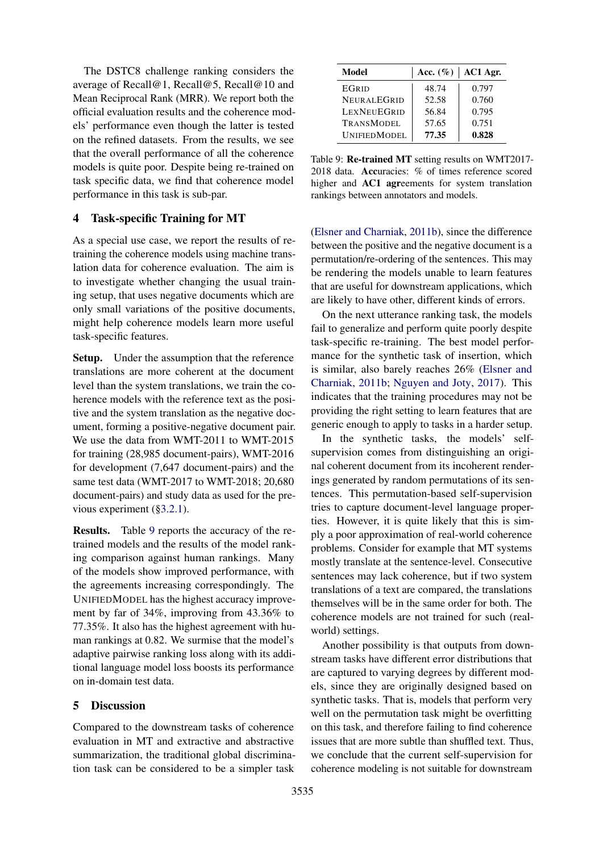The DSTC8 challenge ranking considers the average of Recall@1, Recall@5, Recall@10 and Mean Reciprocal Rank (MRR). We report both the official evaluation results and the coherence models' performance even though the latter is tested on the refined datasets. From the results, we see that the overall performance of all the coherence models is quite poor. Despite being re-trained on task specific data, we find that coherence model performance in this task is sub-par.

# 4 Task-specific Training for MT

As a special use case, we report the results of retraining the coherence models using machine translation data for coherence evaluation. The aim is to investigate whether changing the usual training setup, that uses negative documents which are only small variations of the positive documents, might help coherence models learn more useful task-specific features.

Setup. Under the assumption that the reference translations are more coherent at the document level than the system translations, we train the coherence models with the reference text as the positive and the system translation as the negative document, forming a positive-negative document pair. We use the data from WMT-2011 to WMT-2015 for training (28,985 document-pairs), WMT-2016 for development (7,647 document-pairs) and the same test data (WMT-2017 to WMT-2018; 20,680 document-pairs) and study data as used for the previous experiment ([§3.2.1\)](#page-4-0).

Results. Table [9](#page-7-0) reports the accuracy of the retrained models and the results of the model ranking comparison against human rankings. Many of the models show improved performance, with the agreements increasing correspondingly. The UNIFIEDMODEL has the highest accuracy improvement by far of 34%, improving from 43.36% to 77.35%. It also has the highest agreement with human rankings at 0.82. We surmise that the model's adaptive pairwise ranking loss along with its additional language model loss boosts its performance on in-domain test data.

# 5 Discussion

Compared to the downstream tasks of coherence evaluation in MT and extractive and abstractive summarization, the traditional global discrimination task can be considered to be a simpler task

<span id="page-7-0"></span>

| Model               | Acc. $(\%)$<br>AC1 Agr. |       |  |
|---------------------|-------------------------|-------|--|
| <b>EGRID</b>        | 48.74                   | 0.797 |  |
| <b>NEURALEGRID</b>  | 52.58                   | 0.760 |  |
| LEXNEUEGRID         | 56.84                   | 0.795 |  |
| <b>TRANSMODEL</b>   | 57.65                   | 0.751 |  |
| <b>UNIFIEDMODEL</b> | 77.35                   | 0.828 |  |

Table 9: Re-trained MT setting results on WMT2017- 2018 data. Accuracies: % of times reference scored higher and AC1 agreements for system translation rankings between annotators and models.

[\(Elsner and Charniak,](#page-8-1) [2011b\)](#page-8-1), since the difference between the positive and the negative document is a permutation/re-ordering of the sentences. This may be rendering the models unable to learn features that are useful for downstream applications, which are likely to have other, different kinds of errors.

On the next utterance ranking task, the models fail to generalize and perform quite poorly despite task-specific re-training. The best model performance for the synthetic task of insertion, which is similar, also barely reaches 26% [\(Elsner and](#page-8-1) [Charniak,](#page-8-1) [2011b;](#page-8-1) [Nguyen and Joty,](#page-10-8) [2017\)](#page-10-8). This indicates that the training procedures may not be providing the right setting to learn features that are generic enough to apply to tasks in a harder setup.

In the synthetic tasks, the models' selfsupervision comes from distinguishing an original coherent document from its incoherent renderings generated by random permutations of its sentences. This permutation-based self-supervision tries to capture document-level language properties. However, it is quite likely that this is simply a poor approximation of real-world coherence problems. Consider for example that MT systems mostly translate at the sentence-level. Consecutive sentences may lack coherence, but if two system translations of a text are compared, the translations themselves will be in the same order for both. The coherence models are not trained for such (realworld) settings.

Another possibility is that outputs from downstream tasks have different error distributions that are captured to varying degrees by different models, since they are originally designed based on synthetic tasks. That is, models that perform very well on the permutation task might be overfitting on this task, and therefore failing to find coherence issues that are more subtle than shuffled text. Thus, we conclude that the current self-supervision for coherence modeling is not suitable for downstream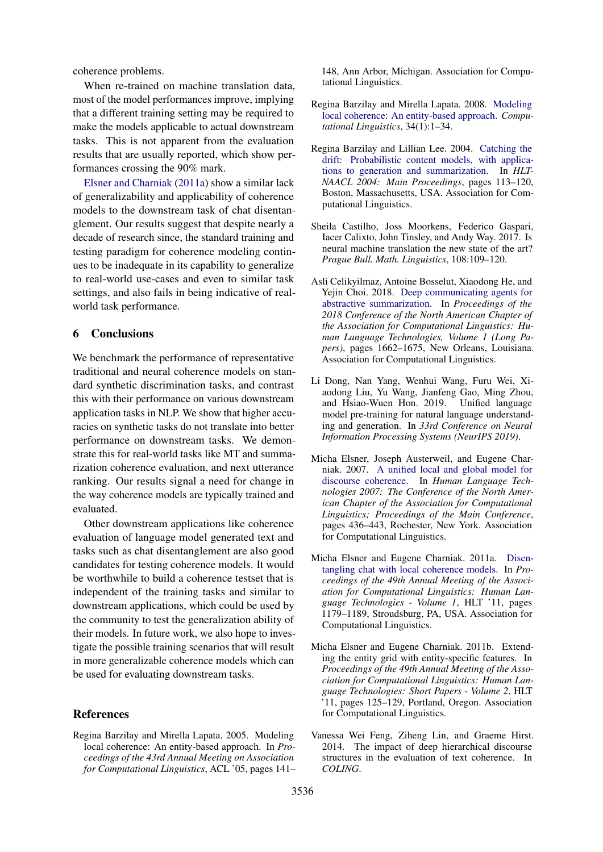coherence problems.

When re-trained on machine translation data, most of the model performances improve, implying that a different training setting may be required to make the models applicable to actual downstream tasks. This is not apparent from the evaluation results that are usually reported, which show performances crossing the 90% mark.

[Elsner and Charniak](#page-8-9) [\(2011a\)](#page-8-9) show a similar lack of generalizability and applicability of coherence models to the downstream task of chat disentanglement. Our results suggest that despite nearly a decade of research since, the standard training and testing paradigm for coherence modeling continues to be inadequate in its capability to generalize to real-world use-cases and even to similar task settings, and also fails in being indicative of realworld task performance.

#### 6 Conclusions

We benchmark the performance of representative traditional and neural coherence models on standard synthetic discrimination tasks, and contrast this with their performance on various downstream application tasks in NLP. We show that higher accuracies on synthetic tasks do not translate into better performance on downstream tasks. We demonstrate this for real-world tasks like MT and summarization coherence evaluation, and next utterance ranking. Our results signal a need for change in the way coherence models are typically trained and evaluated.

Other downstream applications like coherence evaluation of language model generated text and tasks such as chat disentanglement are also good candidates for testing coherence models. It would be worthwhile to build a coherence testset that is independent of the training tasks and similar to downstream applications, which could be used by the community to test the generalization ability of their models. In future work, we also hope to investigate the possible training scenarios that will result in more generalizable coherence models which can be used for evaluating downstream tasks.

#### References

<span id="page-8-6"></span>Regina Barzilay and Mirella Lapata. 2005. Modeling local coherence: An entity-based approach. In *Proceedings of the 43rd Annual Meeting on Association for Computational Linguistics*, ACL '05, pages 141–

148, Ann Arbor, Michigan. Association for Computational Linguistics.

- <span id="page-8-0"></span>Regina Barzilay and Mirella Lapata. 2008. [Modeling](http://www.aclweb.org/anthology/J08-1001) [local coherence: An entity-based approach.](http://www.aclweb.org/anthology/J08-1001) *Computational Linguistics*, 34(1):1–34.
- <span id="page-8-3"></span>Regina Barzilay and Lillian Lee. 2004. [Catching the](https://www.aclweb.org/anthology/N04-1015) [drift: Probabilistic content models, with applica](https://www.aclweb.org/anthology/N04-1015)[tions to generation and summarization.](https://www.aclweb.org/anthology/N04-1015) In *HLT-NAACL 2004: Main Proceedings*, pages 113–120, Boston, Massachusetts, USA. Association for Computational Linguistics.
- <span id="page-8-7"></span>Sheila Castilho, Joss Moorkens, Federico Gaspari, Iacer Calixto, John Tinsley, and Andy Way. 2017. Is neural machine translation the new state of the art? *Prague Bull. Math. Linguistics*, 108:109–120.
- <span id="page-8-5"></span>Asli Celikyilmaz, Antoine Bosselut, Xiaodong He, and Yejin Choi. 2018. [Deep communicating agents for](https://doi.org/10.18653/v1/N18-1150) [abstractive summarization.](https://doi.org/10.18653/v1/N18-1150) In *Proceedings of the 2018 Conference of the North American Chapter of the Association for Computational Linguistics: Human Language Technologies, Volume 1 (Long Papers)*, pages 1662–1675, New Orleans, Louisiana. Association for Computational Linguistics.
- <span id="page-8-8"></span>Li Dong, Nan Yang, Wenhui Wang, Furu Wei, Xiaodong Liu, Yu Wang, Jianfeng Gao, Ming Zhou, and Hsiao-Wuen Hon. 2019. Unified language model pre-training for natural language understanding and generation. In *33rd Conference on Neural Information Processing Systems (NeurIPS 2019)*.
- <span id="page-8-4"></span>Micha Elsner, Joseph Austerweil, and Eugene Charniak. 2007. [A unified local and global model for](https://www.aclweb.org/anthology/N07-1055) [discourse coherence.](https://www.aclweb.org/anthology/N07-1055) In *Human Language Technologies 2007: The Conference of the North American Chapter of the Association for Computational Linguistics; Proceedings of the Main Conference*, pages 436–443, Rochester, New York. Association for Computational Linguistics.
- <span id="page-8-9"></span>Micha Elsner and Eugene Charniak. 2011a. [Disen](http://dl.acm.org/citation.cfm?id=2002472.2002622)[tangling chat with local coherence models.](http://dl.acm.org/citation.cfm?id=2002472.2002622) In *Proceedings of the 49th Annual Meeting of the Association for Computational Linguistics: Human Language Technologies - Volume 1*, HLT '11, pages 1179–1189, Stroudsburg, PA, USA. Association for Computational Linguistics.
- <span id="page-8-1"></span>Micha Elsner and Eugene Charniak. 2011b. Extending the entity grid with entity-specific features. In *Proceedings of the 49th Annual Meeting of the Association for Computational Linguistics: Human Language Technologies: Short Papers - Volume 2*, HLT '11, pages 125–129, Portland, Oregon. Association for Computational Linguistics.
- <span id="page-8-2"></span>Vanessa Wei Feng, Ziheng Lin, and Graeme Hirst. 2014. The impact of deep hierarchical discourse structures in the evaluation of text coherence. In *COLING*.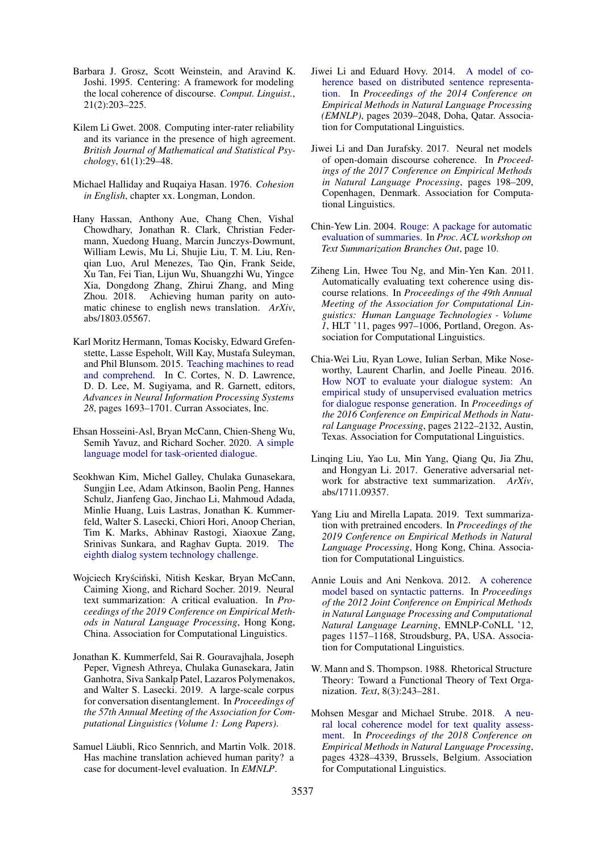- <span id="page-9-1"></span>Barbara J. Grosz, Scott Weinstein, and Aravind K. Joshi. 1995. Centering: A framework for modeling the local coherence of discourse. *Comput. Linguist.*, 21(2):203–225.
- <span id="page-9-13"></span>Kilem Li Gwet. 2008. Computing inter-rater reliability and its variance in the presence of high agreement. *British Journal of Mathematical and Statistical Psychology*, 61(1):29–48.
- <span id="page-9-0"></span>Michael Halliday and Ruqaiya Hasan. 1976. *Cohesion in English*, chapter xx. Longman, London.
- <span id="page-9-6"></span>Hany Hassan, Anthony Aue, Chang Chen, Vishal Chowdhary, Jonathan R. Clark, Christian Federmann, Xuedong Huang, Marcin Junczys-Dowmunt, William Lewis, Mu Li, Shujie Liu, T. M. Liu, Renqian Luo, Arul Menezes, Tao Qin, Frank Seide, Xu Tan, Fei Tian, Lijun Wu, Shuangzhi Wu, Yingce Xia, Dongdong Zhang, Zhirui Zhang, and Ming Zhou. 2018. Achieving human parity on automatic chinese to english news translation. *ArXiv*, abs/1803.05567.
- <span id="page-9-16"></span>Karl Moritz Hermann, Tomas Kocisky, Edward Grefenstette, Lasse Espeholt, Will Kay, Mustafa Suleyman, and Phil Blunsom. 2015. [Teaching machines to read](http://papers.nips.cc/paper/5945-teaching-machines-to-read-and-comprehend.pdf) [and comprehend.](http://papers.nips.cc/paper/5945-teaching-machines-to-read-and-comprehend.pdf) In C. Cortes, N. D. Lawrence, D. D. Lee, M. Sugiyama, and R. Garnett, editors, *Advances in Neural Information Processing Systems 28*, pages 1693–1701. Curran Associates, Inc.
- <span id="page-9-8"></span>Ehsan Hosseini-Asl, Bryan McCann, Chien-Sheng Wu, Semih Yavuz, and Richard Socher. 2020. [A simple](http://arxiv.org/abs/2005.00796) [language model for task-oriented dialogue.](http://arxiv.org/abs/2005.00796)
- <span id="page-9-10"></span>Seokhwan Kim, Michel Galley, Chulaka Gunasekara, Sungjin Lee, Adam Atkinson, Baolin Peng, Hannes Schulz, Jianfeng Gao, Jinchao Li, Mahmoud Adada, Minlie Huang, Luis Lastras, Jonathan K. Kummerfeld, Walter S. Lasecki, Chiori Hori, Anoop Cherian, Tim K. Marks, Abhinav Rastogi, Xiaoxue Zang, Srinivas Sunkara, and Raghav Gupta. 2019. [The](http://arxiv.org/abs/1911.06394) [eighth dialog system technology challenge.](http://arxiv.org/abs/1911.06394)
- <span id="page-9-15"></span>Wojciech Kryściński, Nitish Keskar, Bryan McCann, Caiming Xiong, and Richard Socher. 2019. Neural text summarization: A critical evaluation. In *Proceedings of the 2019 Conference on Empirical Methods in Natural Language Processing*, Hong Kong, China. Association for Computational Linguistics.
- <span id="page-9-19"></span>Jonathan K. Kummerfeld, Sai R. Gouravajhala, Joseph Peper, Vignesh Athreya, Chulaka Gunasekara, Jatin Ganhotra, Siva Sankalp Patel, Lazaros Polymenakos, and Walter S. Lasecki. 2019. A large-scale corpus for conversation disentanglement. In *Proceedings of the 57th Annual Meeting of the Association for Computational Linguistics (Volume 1: Long Papers)*.
- <span id="page-9-9"></span>Samuel Läubli, Rico Sennrich, and Martin Volk. 2018. Has machine translation achieved human parity? a case for document-level evaluation. In *EMNLP*.
- <span id="page-9-11"></span>Jiwei Li and Eduard Hovy. 2014. [A model of co](http://www.aclweb.org/anthology/D14-1218)[herence based on distributed sentence representa](http://www.aclweb.org/anthology/D14-1218)[tion.](http://www.aclweb.org/anthology/D14-1218) In *Proceedings of the 2014 Conference on Empirical Methods in Natural Language Processing (EMNLP)*, pages 2039–2048, Doha, Qatar. Association for Computational Linguistics.
- <span id="page-9-12"></span>Jiwei Li and Dan Jurafsky. 2017. Neural net models of open-domain discourse coherence. In *Proceedings of the 2017 Conference on Empirical Methods in Natural Language Processing*, pages 198–209, Copenhagen, Denmark. Association for Computational Linguistics.
- <span id="page-9-14"></span>Chin-Yew Lin. 2004. [Rouge: A package for automatic](http://research.microsoft.com/~cyl/download/papers/WAS2004.pdf) [evaluation of summaries.](http://research.microsoft.com/~cyl/download/papers/WAS2004.pdf) In *Proc. ACL workshop on Text Summarization Branches Out*, page 10.
- <span id="page-9-2"></span>Ziheng Lin, Hwee Tou Ng, and Min-Yen Kan. 2011. Automatically evaluating text coherence using discourse relations. In *Proceedings of the 49th Annual Meeting of the Association for Computational Linguistics: Human Language Technologies - Volume 1*, HLT '11, pages 997–1006, Portland, Oregon. Association for Computational Linguistics.
- <span id="page-9-18"></span>Chia-Wei Liu, Ryan Lowe, Iulian Serban, Mike Noseworthy, Laurent Charlin, and Joelle Pineau. 2016. [How NOT to evaluate your dialogue system: An](https://doi.org/10.18653/v1/D16-1230) [empirical study of unsupervised evaluation metrics](https://doi.org/10.18653/v1/D16-1230) [for dialogue response generation.](https://doi.org/10.18653/v1/D16-1230) In *Proceedings of the 2016 Conference on Empirical Methods in Natural Language Processing*, pages 2122–2132, Austin, Texas. Association for Computational Linguistics.
- <span id="page-9-7"></span>Linqing Liu, Yao Lu, Min Yang, Qiang Qu, Jia Zhu, and Hongyan Li. 2017. Generative adversarial network for abstractive text summarization. *ArXiv*, abs/1711.09357.
- <span id="page-9-17"></span>Yang Liu and Mirella Lapata. 2019. Text summarization with pretrained encoders. In *Proceedings of the 2019 Conference on Empirical Methods in Natural Language Processing*, Hong Kong, China. Association for Computational Linguistics.
- <span id="page-9-4"></span>Annie Louis and Ani Nenkova. 2012. [A coherence](http://dl.acm.org/citation.cfm?id=2390948.2391078) [model based on syntactic patterns.](http://dl.acm.org/citation.cfm?id=2390948.2391078) In *Proceedings of the 2012 Joint Conference on Empirical Methods in Natural Language Processing and Computational Natural Language Learning*, EMNLP-CoNLL '12, pages 1157–1168, Stroudsburg, PA, USA. Association for Computational Linguistics.
- <span id="page-9-3"></span>W. Mann and S. Thompson. 1988. Rhetorical Structure Theory: Toward a Functional Theory of Text Organization. *Text*, 8(3):243–281.
- <span id="page-9-5"></span>Mohsen Mesgar and Michael Strube. 2018. [A neu](https://www.aclweb.org/anthology/D18-1464)[ral local coherence model for text quality assess](https://www.aclweb.org/anthology/D18-1464)[ment.](https://www.aclweb.org/anthology/D18-1464) In *Proceedings of the 2018 Conference on Empirical Methods in Natural Language Processing*, pages 4328–4339, Brussels, Belgium. Association for Computational Linguistics.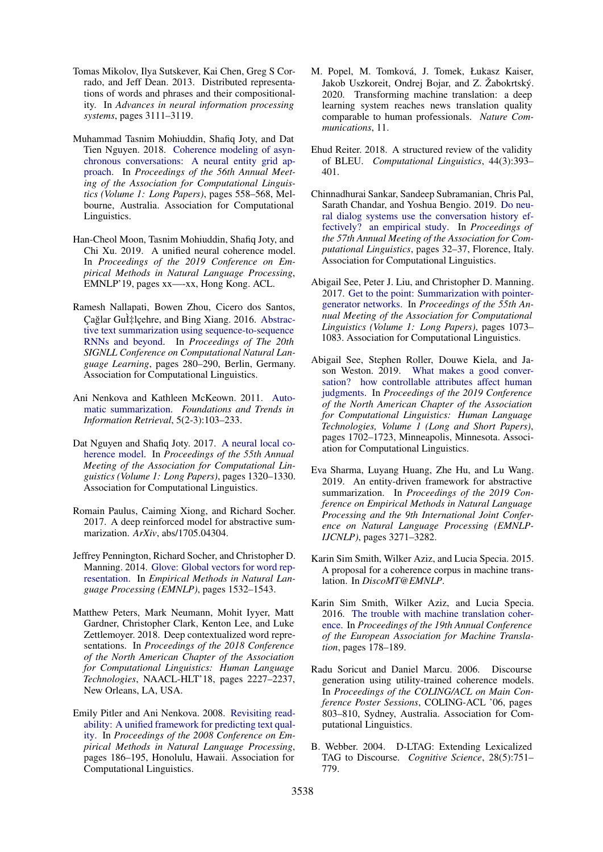- <span id="page-10-9"></span>Tomas Mikolov, Ilya Sutskever, Kai Chen, Greg S Corrado, and Jeff Dean. 2013. Distributed representations of words and phrases and their compositionality. In *Advances in neural information processing systems*, pages 3111–3119.
- <span id="page-10-7"></span>Muhammad Tasnim Mohiuddin, Shafiq Joty, and Dat Tien Nguyen. 2018. [Coherence modeling of asyn](https://www.aclweb.org/anthology/P18-1052)[chronous conversations: A neural entity grid ap](https://www.aclweb.org/anthology/P18-1052)[proach.](https://www.aclweb.org/anthology/P18-1052) In *Proceedings of the 56th Annual Meeting of the Association for Computational Linguistics (Volume 1: Long Papers)*, pages 558–568, Melbourne, Australia. Association for Computational Linguistics.
- <span id="page-10-3"></span>Han-Cheol Moon, Tasnim Mohiuddin, Shafiq Joty, and Chi Xu. 2019. A unified neural coherence model. In *Proceedings of the 2019 Conference on Empirical Methods in Natural Language Processing*, EMNLP'19, pages xx—-xx, Hong Kong. ACL.
- <span id="page-10-16"></span>Ramesh Nallapati, Bowen Zhou, Cicero dos Santos, Çağlar Gu̇lçehre, and Bing Xiang. 2016. [Abstrac](https://doi.org/10.18653/v1/K16-1028)[tive text summarization using sequence-to-sequence](https://doi.org/10.18653/v1/K16-1028) [RNNs and beyond.](https://doi.org/10.18653/v1/K16-1028) In *Proceedings of The 20th SIGNLL Conference on Computational Natural Language Learning*, pages 280–290, Berlin, Germany. Association for Computational Linguistics.
- <span id="page-10-15"></span>Ani Nenkova and Kathleen McKeown. 2011. [Auto](https://doi.org/10.1561/1500000015)[matic summarization.](https://doi.org/10.1561/1500000015) *Foundations and Trends in Information Retrieval*, 5(2-3):103–233.
- <span id="page-10-8"></span>Dat Nguyen and Shafiq Joty. 2017. [A neural local co](https://doi.org/10.18653/v1/P17-1121)[herence model.](https://doi.org/10.18653/v1/P17-1121) In *Proceedings of the 55th Annual Meeting of the Association for Computational Linguistics (Volume 1: Long Papers)*, pages 1320–1330. Association for Computational Linguistics.
- <span id="page-10-5"></span>Romain Paulus, Caiming Xiong, and Richard Socher. 2017. A deep reinforced model for abstractive summarization. *ArXiv*, abs/1705.04304.
- <span id="page-10-10"></span>Jeffrey Pennington, Richard Socher, and Christopher D. Manning. 2014. [Glove: Global vectors for word rep](http://www.aclweb.org/anthology/D14-1162)[resentation.](http://www.aclweb.org/anthology/D14-1162) In *Empirical Methods in Natural Language Processing (EMNLP)*, pages 1532–1543.
- <span id="page-10-11"></span>Matthew Peters, Mark Neumann, Mohit Iyyer, Matt Gardner, Christopher Clark, Kenton Lee, and Luke Zettlemoyer. 2018. Deep contextualized word representations. In *Proceedings of the 2018 Conference of the North American Chapter of the Association for Computational Linguistics: Human Language Technologies*, NAACL-HLT'18, pages 2227–2237, New Orleans, LA, USA.
- <span id="page-10-0"></span>Emily Pitler and Ani Nenkova. 2008. [Revisiting read](https://www.aclweb.org/anthology/D08-1020)[ability: A unified framework for predicting text qual](https://www.aclweb.org/anthology/D08-1020)[ity.](https://www.aclweb.org/anthology/D08-1020) In *Proceedings of the 2008 Conference on Empirical Methods in Natural Language Processing*, pages 186–195, Honolulu, Hawaii. Association for Computational Linguistics.
- <span id="page-10-12"></span>M. Popel, M. Tomková, J. Tomek, Łukasz Kaiser, Jakob Uszkoreit, Ondrej Bojar, and Z. Žabokrtský. 2020. Transforming machine translation: a deep learning system reaches news translation quality comparable to human professionals. *Nature Communications*, 11.
- <span id="page-10-6"></span>Ehud Reiter. 2018. A structured review of the validity of BLEU. *Computational Linguistics*, 44(3):393– 401.
- <span id="page-10-19"></span>Chinnadhurai Sankar, Sandeep Subramanian, Chris Pal, Sarath Chandar, and Yoshua Bengio. 2019. [Do neu](https://doi.org/10.18653/v1/P19-1004)[ral dialog systems use the conversation history ef](https://doi.org/10.18653/v1/P19-1004)[fectively? an empirical study.](https://doi.org/10.18653/v1/P19-1004) In *Proceedings of the 57th Annual Meeting of the Association for Computational Linguistics*, pages 32–37, Florence, Italy. Association for Computational Linguistics.
- <span id="page-10-17"></span>Abigail See, Peter J. Liu, and Christopher D. Manning. 2017. [Get to the point: Summarization with pointer](https://doi.org/10.18653/v1/P17-1099)[generator networks.](https://doi.org/10.18653/v1/P17-1099) In *Proceedings of the 55th Annual Meeting of the Association for Computational Linguistics (Volume 1: Long Papers)*, pages 1073– 1083. Association for Computational Linguistics.
- <span id="page-10-18"></span>Abigail See, Stephen Roller, Douwe Kiela, and Jason Weston. 2019. [What makes a good conver](https://doi.org/10.18653/v1/N19-1170)[sation? how controllable attributes affect human](https://doi.org/10.18653/v1/N19-1170) [judgments.](https://doi.org/10.18653/v1/N19-1170) In *Proceedings of the 2019 Conference of the North American Chapter of the Association for Computational Linguistics: Human Language Technologies, Volume 1 (Long and Short Papers)*, pages 1702–1723, Minneapolis, Minnesota. Association for Computational Linguistics.
- <span id="page-10-4"></span>Eva Sharma, Luyang Huang, Zhe Hu, and Lu Wang. 2019. An entity-driven framework for abstractive summarization. In *Proceedings of the 2019 Conference on Empirical Methods in Natural Language Processing and the 9th International Joint Conference on Natural Language Processing (EMNLP-IJCNLP)*, pages 3271–3282.
- <span id="page-10-14"></span>Karin Sim Smith, Wilker Aziz, and Lucia Specia. 2015. A proposal for a coherence corpus in machine translation. In *DiscoMT@EMNLP*.
- <span id="page-10-13"></span>Karin Sim Smith, Wilker Aziz, and Lucia Specia. 2016. [The trouble with machine translation coher](https://www.aclweb.org/anthology/W16-3407)[ence.](https://www.aclweb.org/anthology/W16-3407) In *Proceedings of the 19th Annual Conference of the European Association for Machine Translation*, pages 178–189.
- <span id="page-10-2"></span>Radu Soricut and Daniel Marcu. 2006. Discourse generation using utility-trained coherence models. In *Proceedings of the COLING/ACL on Main Conference Poster Sessions*, COLING-ACL '06, pages 803–810, Sydney, Australia. Association for Computational Linguistics.
- <span id="page-10-1"></span>B. Webber. 2004. D-LTAG: Extending Lexicalized TAG to Discourse. *Cognitive Science*, 28(5):751– 779.